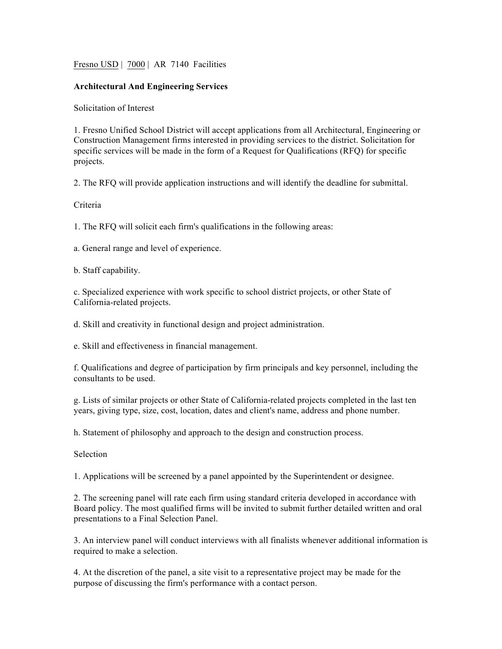Fresno USD | 7000 | AR 7140 Facilities

## **Architectural And Engineering Services**

Solicitation of Interest

1. Fresno Unified School District will accept applications from all Architectural, Engineering or Construction Management firms interested in providing services to the district. Solicitation for specific services will be made in the form of a Request for Qualifications (RFQ) for specific projects.

2. The RFQ will provide application instructions and will identify the deadline for submittal.

## Criteria

1. The RFQ will solicit each firm's qualifications in the following areas:

a. General range and level of experience.

b. Staff capability.

c. Specialized experience with work specific to school district projects, or other State of California-related projects.

d. Skill and creativity in functional design and project administration.

e. Skill and effectiveness in financial management.

f. Qualifications and degree of participation by firm principals and key personnel, including the consultants to be used.

g. Lists of similar projects or other State of California-related projects completed in the last ten years, giving type, size, cost, location, dates and client's name, address and phone number.

h. Statement of philosophy and approach to the design and construction process.

Selection

1. Applications will be screened by a panel appointed by the Superintendent or designee.

2. The screening panel will rate each firm using standard criteria developed in accordance with Board policy. The most qualified firms will be invited to submit further detailed written and oral presentations to a Final Selection Panel.

3. An interview panel will conduct interviews with all finalists whenever additional information is required to make a selection.

4. At the discretion of the panel, a site visit to a representative project may be made for the purpose of discussing the firm's performance with a contact person.